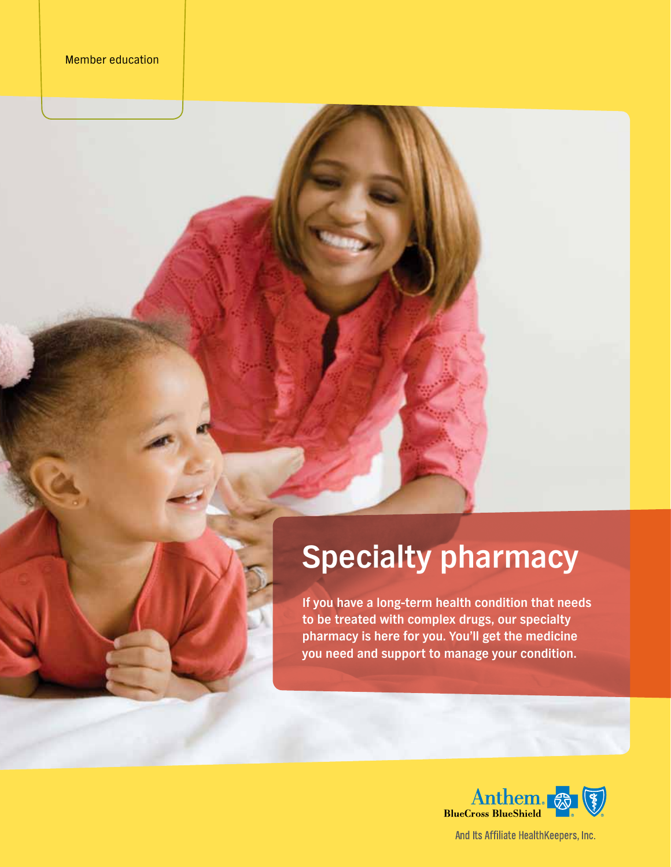# **Specialty pharmacy**

**If you have a long-term health condition that needs to be treated with complex drugs, our specialty pharmacy is here for you. You'll get the medicine you need and support to manage your condition.**



And Its Affiliate HealthKeepers, Inc.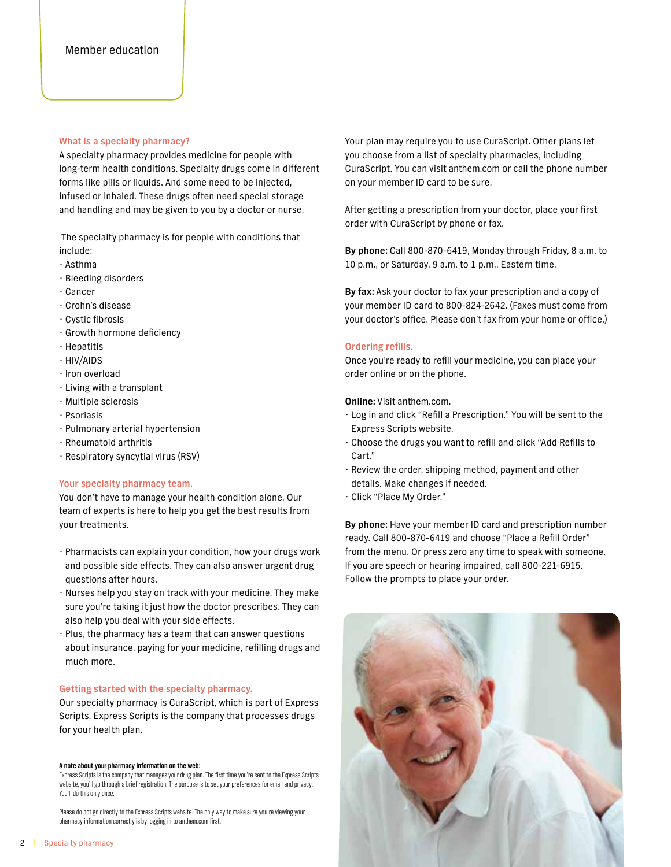## **What is a specialty pharmacy?**

A specialty pharmacy provides medicine for people with long-term health conditions. Specialty drugs come in different forms like pills or liquids. And some need to be injected, infused or inhaled. These drugs often need special storage and handling and may be given to you by a doctor or nurse.

 The specialty pharmacy is for people with conditions that include:

- Asthma
- Bleeding disorders
- Cancer
- Crohn's disease
- Cystic fibrosis
- Growth hormone deficiency
- Hepatitis
- HIV/AIDS
- Iron overload
- Living with a transplant
- Multiple sclerosis
- Psoriasis
- Pulmonary arterial hypertension
- Rheumatoid arthritis
- Respiratory syncytial virus (RSV)

## **Your specialty pharmacy team.**

You don't have to manage your health condition alone. Our team of experts is here to help you get the best results from your treatments.

- Pharmacists can explain your condition, how your drugs work and possible side effects. They can also answer urgent drug questions after hours.
- Nurses help you stay on track with your medicine. They make sure you're taking it just how the doctor prescribes. They can also help you deal with your side effects.
- Plus, the pharmacy has a team that can answer questions about insurance, paying for your medicine, refilling drugs and much more.

#### **Getting started with the specialty pharmacy.**

Our specialty pharmacy is CuraScript, which is part of Express Scripts. Express Scripts is the company that processes drugs for your health plan.

#### **A note about your pharmacy information on the web:**

Express Scripts is the company that manages your drug plan. The first time you're sent to the Express Scripts website, you'll go through a brief registration. The purpose is to set your preferences for email and privacy. You'll do this only once.

Please do not go directly to the Express Scripts website. The only way to make sure you're viewing your pharmacy information correctly is by logging in to [anthem.com](http://anthem.com) first.

Your plan may require you to use CuraScript. Other plans let you choose from a list of specialty pharmacies, including CuraScript. You can visit [anthem.com](http://anthem.com) or call the phone number on your member ID card to be sure.

After getting a prescription from your doctor, place your first order with CuraScript by phone or fax.

**By phone:** Call 800-870-6419, Monday through Friday, 8 a.m. to 10 p.m., or Saturday, 9 a.m. to 1 p.m., Eastern time.

**By fax:** Ask your doctor to fax your prescription and a copy of your member ID card to 800-824-2642. (Faxes must come from your doctor's office. Please don't fax from your home or office.)

## **Ordering refills.**

Once you're ready to refill your medicine, you can place your order online or on the phone.

**Online:** Visit [anthem.com.](http://anthem.com)

- Log in and click "Refill a Prescription." You will be sent to the Express Scripts website.
- Choose the drugs you want to refill and click "Add Refills to Cart."
- Review the order, shipping method, payment and other details. Make changes if needed.
- Click "Place My Order."

**By phone:** Have your member ID card and prescription number ready. Call 800-870-6419 and choose "Place a Refill Order" from the menu. Or press zero any time to speak with someone. If you are speech or hearing impaired, call 800-221-6915. Follow the prompts to place your order.

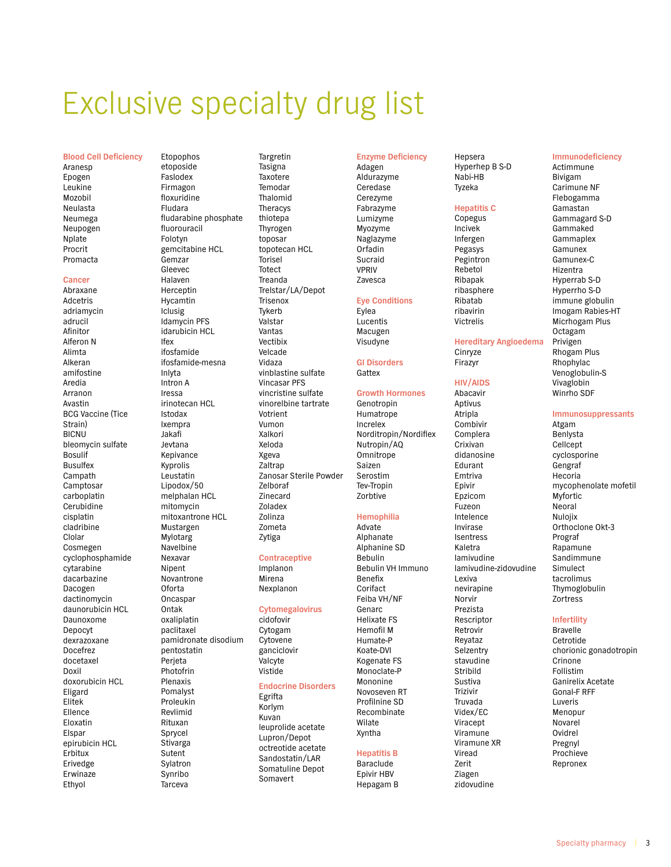# Exclusive specialty drug list

#### **Blood Cell Deficiency**

Aranesp Epogen Leukine Mozobil Neulasta Neumega Neupogen Nplate Procrit Promacta

#### Cancer

Abraxane Adcetris adriamycin adrucil Afinitor Alferon N Alimta Alkeran amifostine Aredia Arranon Avastin **BCG Vaccine (Tice** Strain) **BICNU** bleomycin sulfate **Bosulif Busulfex** Campath Camptosar carboplatin Cerubidine cisplatin cladribine Clolar Cosmegen cyclophosphamide cytarabine dacarbazine Dacogen dactinomycin daunorubicin HCL Daunoxome Depocyt dexrazoxane Docefrez docetaxel Doxil doxorubicin HCL Eligard Elitek **Flience** Eloxatin **Fisnar** epirubicin HCL Erbitux Erivedge Erwinaze Ethyol

Etopophos etoposide Faslodex Firmagon floxuridine Fludara fludarabine phosphate fluorouracil Folotyn gemcitabine HCL Gemzar Gleevec Halaven Herceptin Hycamtin Iclusig Idamycin PFS idarubicin HCL Ifex ifosfamide ifosfamide-mesna Inlyta Intron A Iressa irinotecan HCL Istodax Ixempra Jakafi leytana Kepivance Kyprolis Leustatin Lipodox/50 melphalan HCL mitomycin mitoxantrone HCL Mustargen Mylotarg Navelbine Nexavar Nipent Novantrone Oforta Oncaspar Ontak oxaliplatin paclitaxel .<br>pamidronate disodium pentostatin Perjeta Photofrin Plenaxis Pomalyst Proleukin Revlimid Rituxan Sprycel Stivarga Sutent Svlatron Synribo Tarceva

Targretin Tasigna Taxotere Temodar Thalomid Theracys thiotepa Thyrogen toposar topotecan HCL Torisel Totect Treanda Trelstar/LA/Depot Trisenox Tykerb Valstar Vantas Vectibix Velcade Vidaza vinblastine sulfate **Vincasar PFS** vincristine sulfate vinorelbine tartrate Votrient Vumon Xalkori Xeloda Xgeva Zaltrap Zanosar Sterile Powder Zelboraf **Zinecard** Zoladex Zolinza Zometa Zytiga

## **Contraceptive**

Implanon Mirena Nexplanon

#### **Cytomegalovirus**

cidofovir Cytogam Cytovene ganciclovir Valcyte Vistide

## **Endocrine Disorders**

Egrifta Korlym Kuvan leuprolide acetate Lupron/Depot octreotide acetate Sandostatin/LAR Somatuline Depot Somavert

#### **Enzyme Deficiency**

Adagen Aldurazyme Ceredase Cerezyme Fabrazyme Lumizyme Myozyme Naglazyme Orfadin Sucraid **VPRIV** Zavesca

#### **Eye Conditions**

**Fylea** Lucentis Macugen Visudyne

**GI Disorders** Gattex

#### **Growth Hormones** Genotropin

Humatrope Increlex Norditropin/Nordiflex Nutropin/AQ Omnitrope Saizen Serostim Tev-Tropin Zorbtive

#### Hemophilia

Advate Alphanate Alphanine SD Bebulin Bebulin VH Immuno Benefix Corifact Feiba VH/NF Genarc **Helixate FS Hemofil M** Humate-P Koate-DVI Kogenate FS Monoclate-P Mononine Novoseven RT Profilnine SD Recombinate Wilate Xyntha

## **Hepatitis B**

**Baraclude** Enivir HBV Hepagam B Hepsera Hyperhep B S-D Nabi-HB Tyzeka

### **Hepatitis C**

Copegus Incivek Infergen Pegasys Pegintron Rebetol Ribapak ribasphere Ribatab rihavirin Victrelis

#### **Hereditary Angioedema** Cinryze Firazyr

**HIV/AIDS** Abacavir

Aptivus Atripla Combivir Complera Crixivan didanosine Edurant Emtriva Epivir Epzicom Fuzeon Intelence Invirase Isentress Kaletra lamivudine lamivudine-zidovudine Lexiva nevirapine Norvir Prezista Rescriptor Retrovir Revataz Selzentry stavudine Stribild Sustiva Trizivir Truvada Videx/EC Viracept Viramune Viramune XR Viread Zerit Ziagen zidovudine

#### Immunodeficiency

Actimmune **Bivigam** Carimune NF Flebogamma Gamastan Gammagard S-D Gammaked Gammaplex Gamunex Gamunex-C Hizentra Hyperrab S-D Hyperrho S-D immune globulin Imogam Rabies-HT Micrhogam Plus Octagam Privigen Rhogam Plus Rhophylac Venoglobulin-S Vivaglobin Winrho SDF

## Immunosuppressants

Atgam Benlysta Cellcept cyclosporine Gengraf Hecoria mycophenolate mofetil Myfortic Neoral Nulojix Orthoclone Okt-3 Prograf Rapamune Sandimmune Simulect tacrolimus Thymoglobulin Zortress

## Infertility

**Bravelle** Cetrotide chorionic gonadotropin Crinone Follistim Ganirelix Acetate **Gonal-F RFF** Luveris Menopur Novarel **Ovidrel** Pregnyl Prochieve Repronex